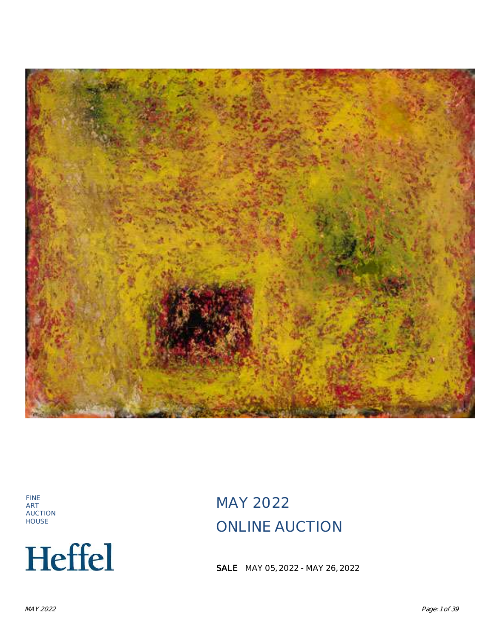

FINE ART AUCTION HOUSE



MAY 2022 ONLINE AUCTION

**SALE** MAY 05, 2022 - MAY 26, 2022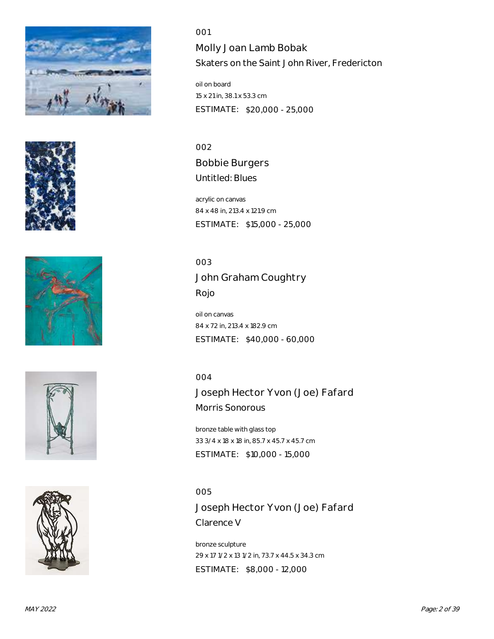









001 Molly Joan Lamb Bobak Skaters on the Saint John River, Fredericton

oil on board 15 x 21 in, 38.1 x 53.3 cm ESTIMATE: \$20,000 - 25,000

002 Bobbie Burgers Untitled: Blues

acrylic on canvas 84 x 48 in, 213.4 x 121.9 cm ESTIMATE: \$15,000 - 25,000

003 John Graham Coughtry Rojo

oil on canvas 84 x 72 in, 213.4 x 182.9 cm ESTIMATE: \$40,000 - 60,000

004

Joseph Hector Yvon (Joe) Fafard Morris Sonorous

bronze table with glass top 33 3/4 x 18 x 18 in, 85.7 x 45.7 x 45.7 cm ESTIMATE: \$10,000 - 15,000

005 Joseph Hector Yvon (Joe) Fafard Clarence V

bronze sculpture 29 x 17 1/2 x 13 1/2 in, 73.7 x 44.5 x 34.3 cm ESTIMATE: \$8,000 - 12,000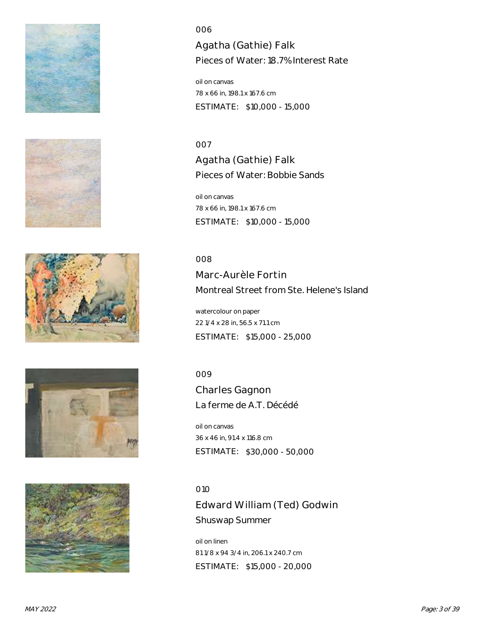









Agatha (Gathie) Falk Pieces of Water: 18.7% Interest Rate

oil on canvas 78 x 66 in, 198.1 x 167.6 cm ESTIMATE: \$10,000 - 15,000

#### 007

Agatha (Gathie) Falk Pieces of Water: Bobbie Sands

oil on canvas 78 x 66 in, 198.1 x 167.6 cm ESTIMATE: \$10,000 - 15,000

#### 008

Marc-Aurèle Fortin Montreal Street from Ste. Helene's Island

watercolour on paper 22 1/4 x 28 in, 56.5 x 71.1 cm ESTIMATE: \$15,000 - 25,000

# 009

Charles Gagnon La ferme de A.T. Décédé

oil on canvas 36 x 46 in, 91.4 x 116.8 cm ESTIMATE: \$30,000 - 50,000

#### 010

Edward William (Ted) Godwin Shuswap Summer

oil on linen 81 1/8 x 94 3/4 in, 206.1 x 240.7 cm ESTIMATE: \$15,000 - 20,000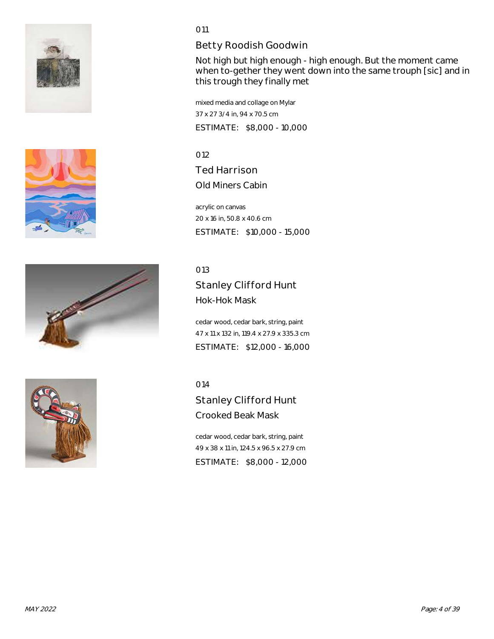







# Betty Roodish Goodwin

Not high but high enough - high enough. But the moment came when to-gether they went down into the same trouph [sic] and in this trough they finally met

mixed media and collage on Mylar 37 x 27 3/4 in, 94 x 70.5 cm ESTIMATE: \$8,000 - 10,000

012 Ted Harrison Old Miners Cabin

acrylic on canvas 20 x 16 in, 50.8 x 40.6 cm ESTIMATE: \$10,000 - 15,000

013

Stanley Clifford Hunt Hok-Hok Mask

cedar wood, cedar bark, string, paint 47 x 11 x 132 in, 119.4 x 27.9 x 335.3 cm ESTIMATE: \$12,000 - 16,000

014

Stanley Clifford Hunt Crooked Beak Mask

cedar wood, cedar bark, string, paint 49 x 38 x 11 in, 124.5 x 96.5 x 27.9 cm ESTIMATE: \$8,000 - 12,000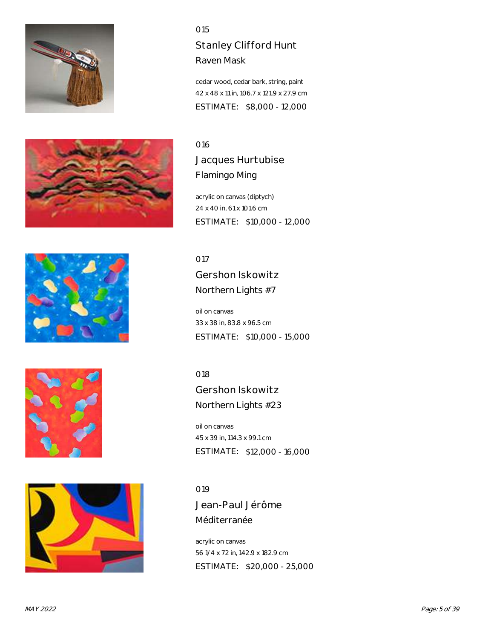









# Stanley Clifford Hunt Raven Mask

cedar wood, cedar bark, string, paint 42 x 48 x 11 in, 106.7 x 121.9 x 27.9 cm ESTIMATE: \$8,000 - 12,000

# 016

Jacques Hurtubise Flamingo Ming

acrylic on canvas (diptych) 24 x 40 in, 61 x 101.6 cm ESTIMATE: \$10,000 - 12,000

017 Gershon Iskowitz Northern Lights #7

oil on canvas 33 x 38 in, 83.8 x 96.5 cm ESTIMATE: \$10,000 - 15,000

018

Gershon Iskowitz Northern Lights #23

oil on canvas 45 x 39 in, 114.3 x 99.1 cm ESTIMATE: \$12,000 - 16,000

019

Jean-Paul Jérôme Méditerranée

acrylic on canvas 56 1/4 x 72 in, 142.9 x 182.9 cm ESTIMATE: \$20,000 - 25,000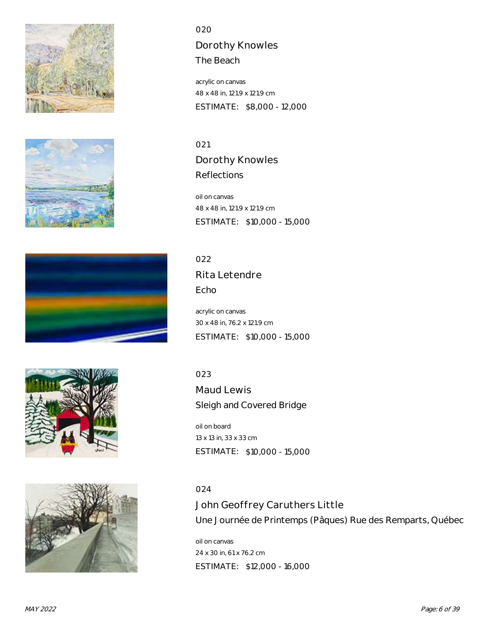









Dorothy Knowles The Beach

acrylic on canvas 48 x 48 in, 121.9 x 121.9 cm ESTIMATE: \$8,000 - 12,000

021 Dorothy Knowles Reflections

oil on canvas 48 x 48 in, 121.9 x 121.9 cm ESTIMATE: \$10,000 - 15,000

022 Rita Letendre Echo

acrylic on canvas 30 x 48 in, 76.2 x 121.9 cm ESTIMATE: \$10,000 - 15,000

023

Maud Lewis Sleigh and Covered Bridge

oil on board 13 x 13 in, 33 x 33 cm ESTIMATE: \$10,000 - 15,000

024

John Geoffrey Caruthers Little Une Journée de Printemps (Pâques) Rue des Remparts, Québec

oil on canvas 24 x 30 in, 61 x 76.2 cm ESTIMATE: \$12,000 - 16,000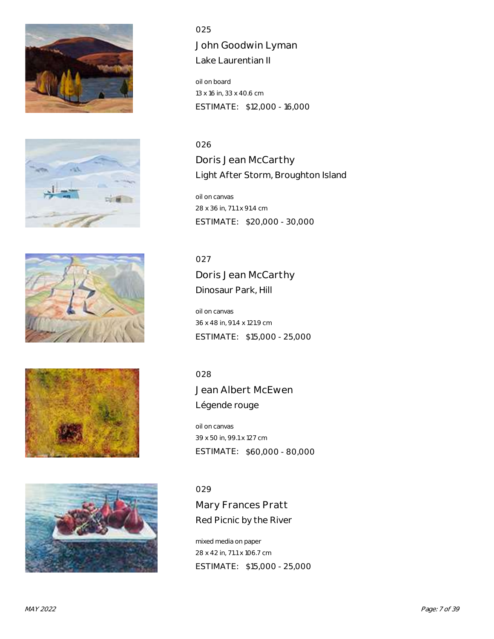









John Goodwin Lyman Lake Laurentian II

oil on board 13 x 16 in, 33 x 40.6 cm ESTIMATE: \$12,000 - 16,000

026 Doris Jean McCarthy Light After Storm, Broughton Island

oil on canvas 28 x 36 in, 71.1 x 91.4 cm ESTIMATE: \$20,000 - 30,000

# 027

Doris Jean McCarthy Dinosaur Park, Hill

oil on canvas 36 x 48 in, 91.4 x 121.9 cm ESTIMATE: \$15,000 - 25,000

# 028

Jean Albert McEwen Légende rouge

oil on canvas 39 x 50 in, 99.1 x 127 cm ESTIMATE: \$60,000 - 80,000

# 029

Mary Frances Pratt Red Picnic by the River

mixed media on paper 28 x 42 in, 71.1 x 106.7 cm ESTIMATE: \$15,000 - 25,000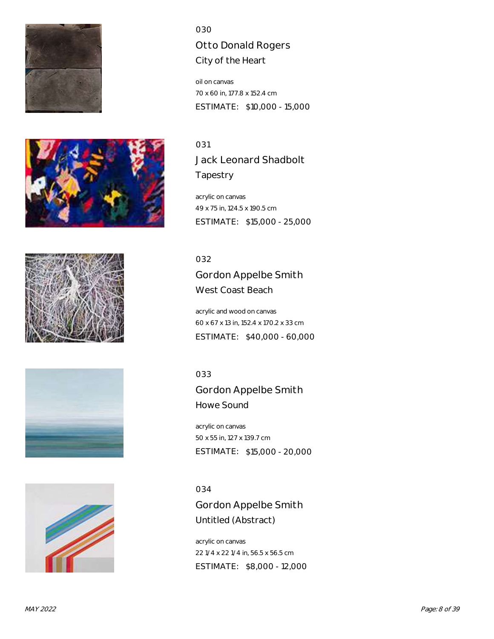









# 030 Otto Donald Rogers City of the Heart

oil on canvas 70 x 60 in, 177.8 x 152.4 cm ESTIMATE: \$10,000 - 15,000

031 Jack Leonard Shadbolt **Tapestry** 

acrylic on canvas 49 x 75 in, 124.5 x 190.5 cm ESTIMATE: \$15,000 - 25,000

# 032

Gordon Appelbe Smith West Coast Beach

acrylic and wood on canvas 60 x 67 x 13 in, 152.4 x 170.2 x 33 cm ESTIMATE: \$40,000 - 60,000

# 033

Gordon Appelbe Smith Howe Sound

acrylic on canvas 50 x 55 in, 127 x 139.7 cm ESTIMATE: \$15,000 - 20,000

# 034

Gordon Appelbe Smith Untitled (Abstract)

acrylic on canvas 22 1/4 x 22 1/4 in, 56.5 x 56.5 cm ESTIMATE: \$8,000 - 12,000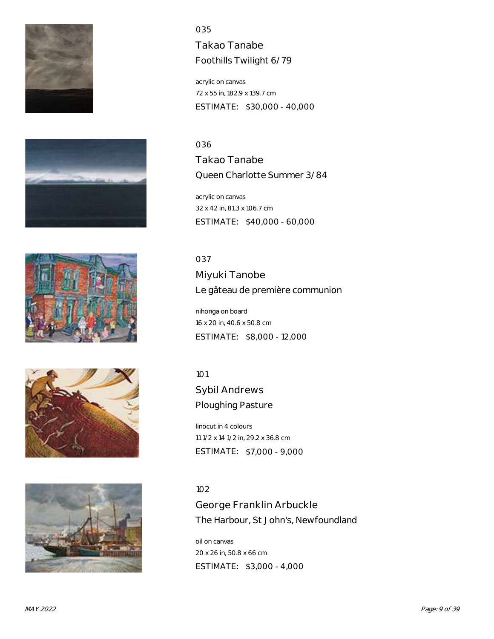









Takao Tanabe Foothills Twilight 6/79

acrylic on canvas 72 x 55 in, 182.9 x 139.7 cm ESTIMATE: \$30,000 - 40,000

036 Takao Tanabe Queen Charlotte Summer 3/84

acrylic on canvas 32 x 42 in, 81.3 x 106.7 cm ESTIMATE: \$40,000 - 60,000

037 Miyuki Tanobe Le gâteau de première communion

nihonga on board 16 x 20 in, 40.6 x 50.8 cm ESTIMATE: \$8,000 - 12,000

101

Sybil Andrews Ploughing Pasture

linocut in 4 colours 11 1/2 x 14 1/2 in, 29.2 x 36.8 cm ESTIMATE: \$7,000 - 9,000

# 102

George Franklin Arbuckle The Harbour, St John's, Newfoundland

oil on canvas 20 x 26 in, 50.8 x 66 cm ESTIMATE: \$3,000 - 4,000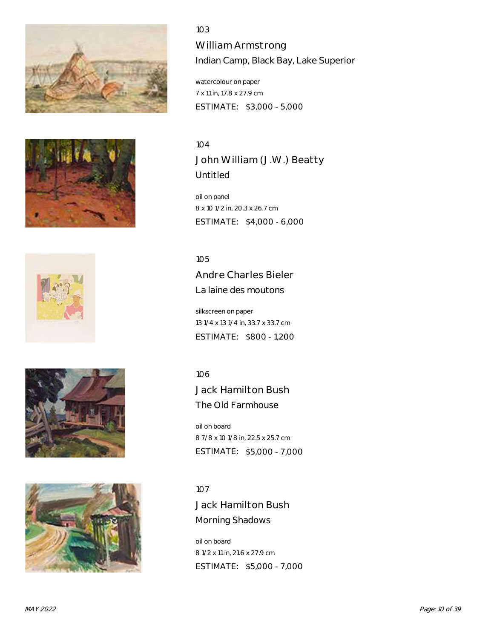









William Armstrong Indian Camp, Black Bay, Lake Superior

watercolour on paper 7 x 11 in, 17.8 x 27.9 cm ESTIMATE: \$3,000 - 5,000

# 104 John William (J.W.) Beatty Untitled

oil on panel 8 x 10 1/2 in, 20.3 x 26.7 cm ESTIMATE: \$4,000 - 6,000

105

Andre Charles Bieler La laine des moutons

silkscreen on paper 13 1/4 x 13 1/4 in, 33.7 x 33.7 cm ESTIMATE: \$800 - 1,200

106

Jack Hamilton Bush The Old Farmhouse

oil on board 8 7/8 x 10 1/8 in, 22.5 x 25.7 cm ESTIMATE: \$5,000 - 7,000

107 Jack Hamilton Bush Morning Shadows

oil on board 8 1/2 x 11 in, 21.6 x 27.9 cm ESTIMATE: \$5,000 - 7,000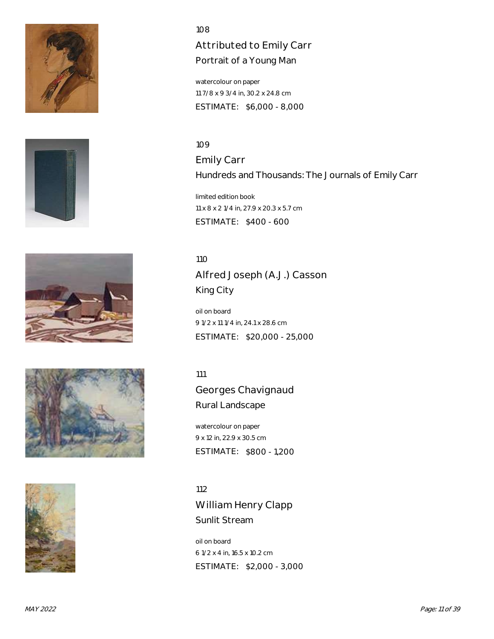









# Attributed to Emily Carr Portrait of a Young Man

watercolour on paper 11 7/8 x 9 3/4 in, 30.2 x 24.8 cm ESTIMATE: \$6,000 - 8,000

109 Emily Carr Hundreds and Thousands: The Journals of Emily Carr

limited edition book 11 x 8 x 2 1/4 in, 27.9 x 20.3 x 5.7 cm ESTIMATE: \$400 - 600

110 Alfred Joseph (A.J.) Casson King City

oil on board 9 1/2 x 11 1/4 in, 24.1 x 28.6 cm ESTIMATE: \$20,000 - 25,000

111

Georges Chavignaud Rural Landscape

watercolour on paper 9 x 12 in, 22.9 x 30.5 cm ESTIMATE: \$800 - 1,200

112 William Henry Clapp Sunlit Stream

oil on board 6 1/2 x 4 in, 16.5 x 10.2 cm ESTIMATE: \$2,000 - 3,000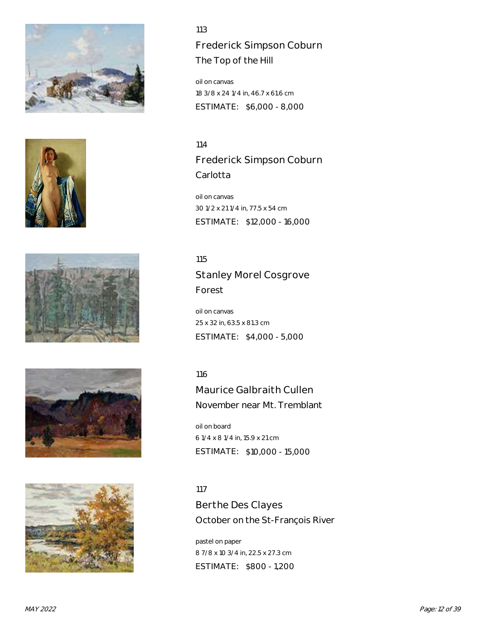









Frederick Simpson Coburn The Top of the Hill

oil on canvas 18 3/8 x 24 1/4 in, 46.7 x 61.6 cm ESTIMATE: \$6,000 - 8,000

114 Frederick Simpson Coburn Carlotta

oil on canvas 30 1/2 x 21 1/4 in, 77.5 x 54 cm ESTIMATE: \$12,000 - 16,000

115

Stanley Morel Cosgrove Forest

oil on canvas 25 x 32 in, 63.5 x 81.3 cm ESTIMATE: \$4,000 - 5,000

116

Maurice Galbraith Cullen November near Mt. Tremblant

oil on board 6 1/4 x 8 1/4 in, 15.9 x 21 cm ESTIMATE: \$10,000 - 15,000

117

Berthe Des Clayes October on the St-François River

pastel on paper 8 7/8 x 10 3/4 in, 22.5 x 27.3 cm ESTIMATE: \$800 - 1,200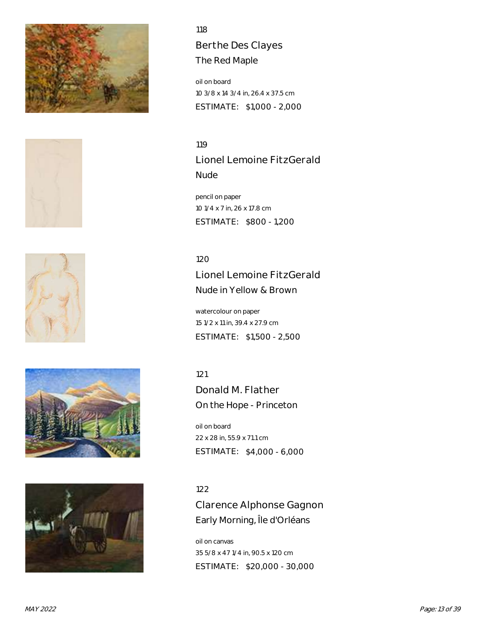









118 Berthe Des Clayes The Red Maple

oil on board 10 3/8 x 14 3/4 in, 26.4 x 37.5 cm ESTIMATE: \$1,000 - 2,000

119 Lionel Lemoine FitzGerald Nude

pencil on paper 10 1/4 x 7 in, 26 x 17.8 cm ESTIMATE: \$800 - 1,200

120 Lionel Lemoine FitzGerald Nude in Yellow & Brown

watercolour on paper 15 1/2 x 11 in, 39.4 x 27.9 cm ESTIMATE: \$1,500 - 2,500

121

Donald M. Flather On the Hope - Princeton

oil on board 22 x 28 in, 55.9 x 71.1 cm ESTIMATE: \$4,000 - 6,000

122

Clarence Alphonse Gagnon Early Morning, Île d'Orléans

oil on canvas 35 5/8 x 47 1/4 in, 90.5 x 120 cm ESTIMATE: \$20,000 - 30,000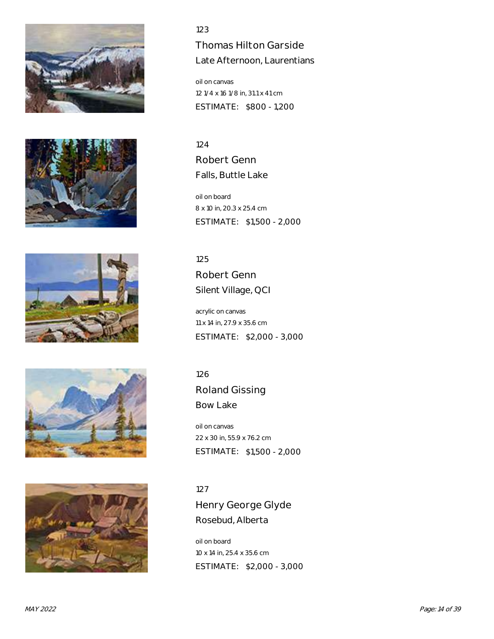









Thomas Hilton Garside Late Afternoon, Laurentians

oil on canvas 12 1/4 x 16 1/8 in, 31.1 x 41 cm ESTIMATE: \$800 - 1,200

124 Robert Genn Falls, Buttle Lake

oil on board 8 x 10 in, 20.3 x 25.4 cm ESTIMATE: \$1,500 - 2,000

125 Robert Genn Silent Village, QCI

acrylic on canvas 11 x 14 in, 27.9 x 35.6 cm ESTIMATE: \$2,000 - 3,000

126

Roland Gissing Bow Lake

oil on canvas 22 x 30 in, 55.9 x 76.2 cm ESTIMATE: \$1,500 - 2,000

127 Henry George Glyde Rosebud, Alberta

oil on board 10 x 14 in, 25.4 x 35.6 cm ESTIMATE: \$2,000 - 3,000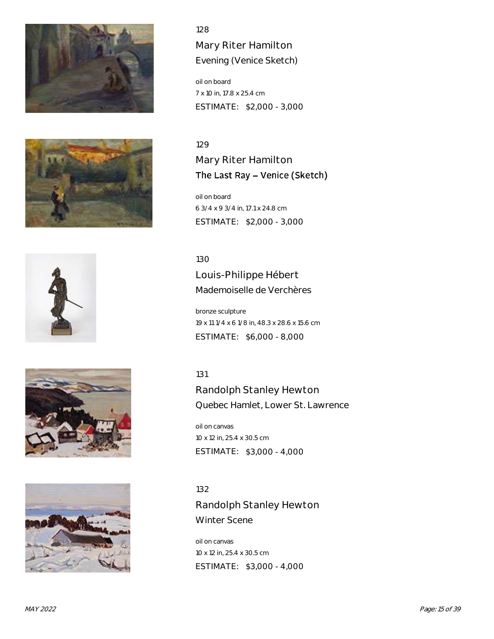









Mary Riter Hamilton Evening (Venice Sketch)

oil on board 7 x 10 in, 17.8 x 25.4 cm ESTIMATE: \$2,000 - 3,000

#### 129

Mary Riter Hamilton The Last Ray - Venice (Sketch)

oil on board 6 3/4 x 9 3/4 in, 17.1 x 24.8 cm ESTIMATE: \$2,000 - 3,000

130

Louis-Philippe Hébert Mademoiselle de Verchères

bronze sculpture 19 x 11 1/4 x 6 1/8 in, 48.3 x 28.6 x 15.6 cm ESTIMATE: \$6,000 - 8,000

# 131

Randolph Stanley Hewton Quebec Hamlet, Lower St. Lawrence

oil on canvas 10 x 12 in, 25.4 x 30.5 cm ESTIMATE: \$3,000 - 4,000

132

Randolph Stanley Hewton Winter Scene

oil on canvas 10 x 12 in, 25.4 x 30.5 cm ESTIMATE: \$3,000 - 4,000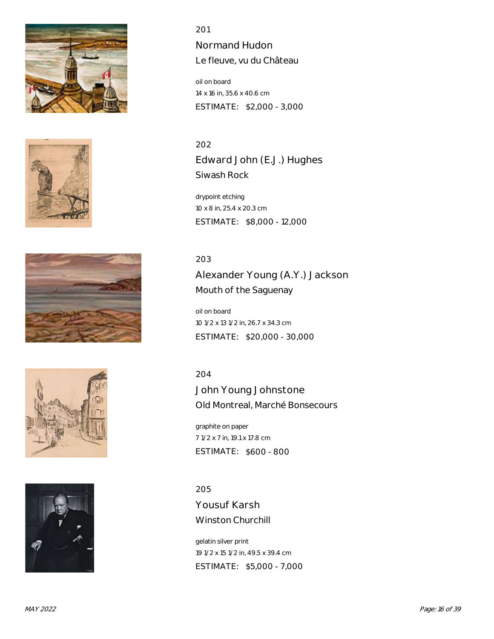









Normand Hudon Le fleuve, vu du Château

oil on board 14 x 16 in, 35.6 x 40.6 cm ESTIMATE: \$2,000 - 3,000

202 Edward John (E.J.) Hughes Siwash Rock

drypoint etching 10 x 8 in, 25.4 x 20.3 cm ESTIMATE: \$8,000 - 12,000

# 203

Alexander Young (A.Y.) Jackson Mouth of the Saguenay

oil on board 10 1/2 x 13 1/2 in, 26.7 x 34.3 cm ESTIMATE: \$20,000 - 30,000

204

John Young Johnstone Old Montreal, Marché Bonsecours

graphite on paper 7 1/2 x 7 in, 19.1 x 17.8 cm ESTIMATE: \$600 - 800

205 Yousuf Karsh Winston Churchill

gelatin silver print 19 1/2 x 15 1/2 in, 49.5 x 39.4 cm ESTIMATE: \$5,000 - 7,000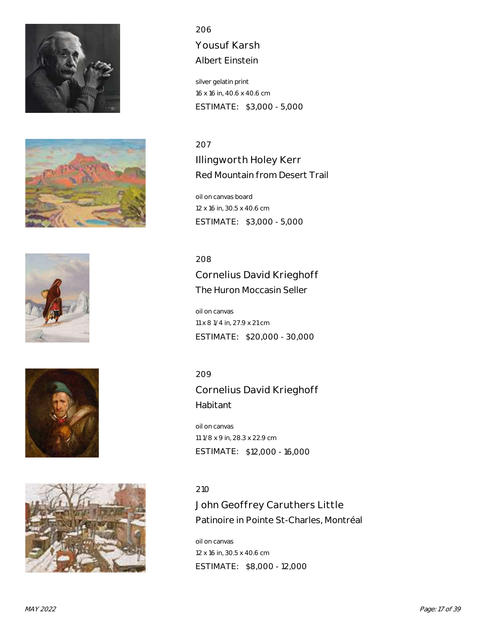









# 206 Yousuf Karsh

Albert Einstein

silver gelatin print 16 x 16 in, 40.6 x 40.6 cm ESTIMATE: \$3,000 - 5,000

# 207

Illingworth Holey Kerr Red Mountain from Desert Trail

oil on canvas board 12 x 16 in, 30.5 x 40.6 cm ESTIMATE: \$3,000 - 5,000

208

Cornelius David Krieghoff The Huron Moccasin Seller

oil on canvas 11 x 8 1/4 in, 27.9 x 21 cm ESTIMATE: \$20,000 - 30,000

209

Cornelius David Krieghoff Habitant

oil on canvas 11 1/8 x 9 in, 28.3 x 22.9 cm ESTIMATE: \$12,000 - 16,000

# 210

John Geoffrey Caruthers Little Patinoire in Pointe St-Charles, Montréal

oil on canvas 12 x 16 in, 30.5 x 40.6 cm ESTIMATE: \$8,000 - 12,000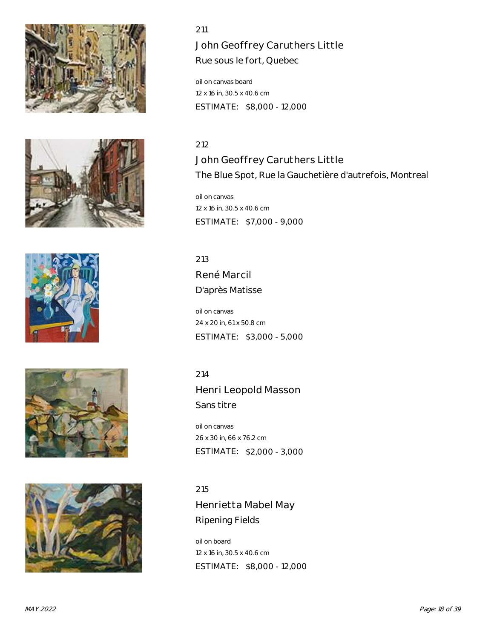









# John Geoffrey Caruthers Little

Rue sous le fort, Quebec

oil on canvas board 12 x 16 in, 30.5 x 40.6 cm ESTIMATE: \$8,000 - 12,000

# 212

John Geoffrey Caruthers Little The Blue Spot, Rue la Gauchetière d'autrefois, Montreal

oil on canvas 12 x 16 in, 30.5 x 40.6 cm ESTIMATE: \$7,000 - 9,000

213 René Marcil D'après Matisse

oil on canvas 24 x 20 in, 61 x 50.8 cm ESTIMATE: \$3,000 - 5,000

214

Henri Leopold Masson Sans titre

oil on canvas 26 x 30 in, 66 x 76.2 cm ESTIMATE: \$2,000 - 3,000

215 Henrietta Mabel May Ripening Fields

oil on board 12 x 16 in, 30.5 x 40.6 cm ESTIMATE: \$8,000 - 12,000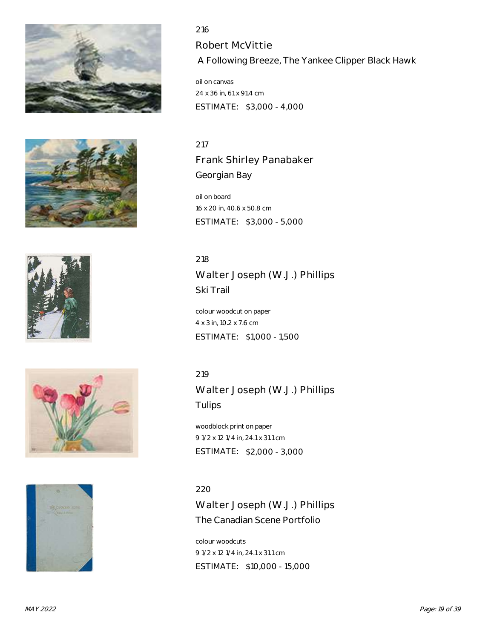









216 Robert McVittie A Following Breeze, The Yankee Clipper Black Hawk

oil on canvas 24 x 36 in, 61 x 91.4 cm ESTIMATE: \$3,000 - 4,000

217 Frank Shirley Panabaker Georgian Bay

oil on board 16 x 20 in, 40.6 x 50.8 cm ESTIMATE: \$3,000 - 5,000

218 Walter Joseph (W.J.) Phillips Ski Trail

colour woodcut on paper 4 x 3 in, 10.2 x 7.6 cm ESTIMATE: \$1,000 - 1,500

219

Walter Joseph (W.J.) Phillips Tulips

woodblock print on paper 9 1/2 x 12 1/4 in, 24.1 x 31.1 cm ESTIMATE: \$2,000 - 3,000

220 Walter Joseph (W.J.) Phillips The Canadian Scene Portfolio

colour woodcuts 9 1/2 x 12 1/4 in, 24.1 x 31.1 cm ESTIMATE: \$10,000 - 15,000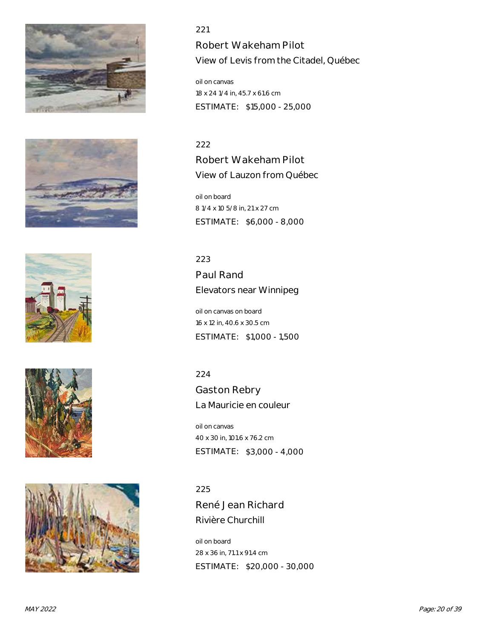









Robert Wakeham Pilot View of Levis from the Citadel, Québec

oil on canvas 18 x 24 1/4 in, 45.7 x 61.6 cm ESTIMATE: \$15,000 - 25,000

#### 222

Robert Wakeham Pilot View of Lauzon from Québec

oil on board 8 1/4 x 10 5/8 in, 21 x 27 cm ESTIMATE: \$6,000 - 8,000

223

Paul Rand Elevators near Winnipeg

oil on canvas on board 16 x 12 in, 40.6 x 30.5 cm ESTIMATE: \$1,000 - 1,500

224

Gaston Rebry La Mauricie en couleur

oil on canvas 40 x 30 in, 101.6 x 76.2 cm ESTIMATE: \$3,000 - 4,000

# 225

René Jean Richard Rivière Churchill

oil on board 28 x 36 in, 71.1 x 91.4 cm ESTIMATE: \$20,000 - 30,000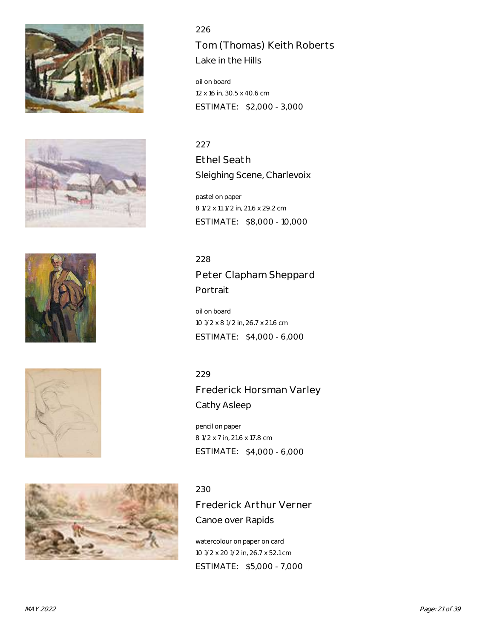









226 Tom (Thomas) Keith Roberts Lake in the Hills

oil on board 12 x 16 in, 30.5 x 40.6 cm ESTIMATE: \$2,000 - 3,000

# 227

Ethel Seath Sleighing Scene, Charlevoix

pastel on paper 8 1/2 x 11 1/2 in, 21.6 x 29.2 cm ESTIMATE: \$8,000 - 10,000

228

Peter Clapham Sheppard Portrait

oil on board 10 1/2 x 8 1/2 in, 26.7 x 21.6 cm ESTIMATE: \$4,000 - 6,000

229

Frederick Horsman Varley Cathy Asleep

pencil on paper 8 1/2 x 7 in, 21.6 x 17.8 cm ESTIMATE: \$4,000 - 6,000

# 230

Frederick Arthur Verner Canoe over Rapids

watercolour on paper on card 10 1/2 x 20 1/2 in, 26.7 x 52.1 cm ESTIMATE: \$5,000 - 7,000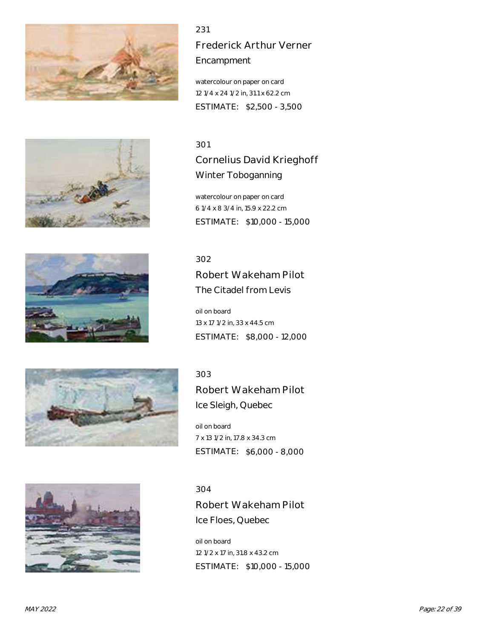

231 Frederick Arthur Verner Encampment

watercolour on paper on card 12 1/4 x 24 1/2 in, 31.1 x 62.2 cm ESTIMATE: \$2,500 - 3,500

#### 301

Cornelius David Krieghoff Winter Toboganning

watercolour on paper on card 6 1/4 x 8 3/4 in, 15.9 x 22.2 cm ESTIMATE: \$10,000 - 15,000

# 302

Robert Wakeham Pilot The Citadel from Levis

oil on board 13 x 17 1/2 in, 33 x 44.5 cm ESTIMATE: \$8,000 - 12,000

# 303

Robert Wakeham Pilot Ice Sleigh, Quebec

oil on board 7 x 13 1/2 in, 17.8 x 34.3 cm ESTIMATE: \$6,000 - 8,000

#### 304

Robert Wakeham Pilot Ice Floes, Quebec

oil on board 12 1/2 x 17 in, 31.8 x 43.2 cm ESTIMATE: \$10,000 - 15,000







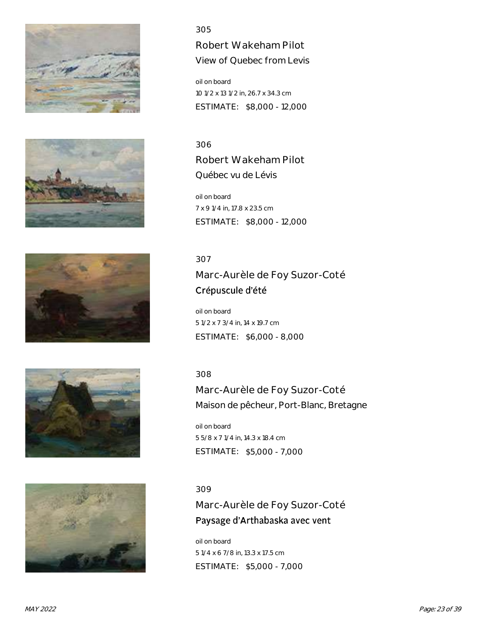









Robert Wakeham Pilot View of Quebec from Levis

oil on board 10 1/2 x 13 1/2 in, 26.7 x 34.3 cm ESTIMATE: \$8,000 - 12,000

306 Robert Wakeham Pilot Québec vu de Lévis

oil on board 7 x 9 1/4 in, 17.8 x 23.5 cm ESTIMATE: \$8,000 - 12,000

# 307

Marc-Aurèle de Foy Suzor-Coté Crépuscule d'été

oil on board 5 1/2 x 7 3/4 in, 14 x 19.7 cm ESTIMATE: \$6,000 - 8,000

# 308

Marc-Aurèle de Foy Suzor-Coté Maison de pêcheur, Port-Blanc, Bretagne

oil on board 5 5/8 x 7 1/4 in, 14.3 x 18.4 cm ESTIMATE: \$5,000 - 7,000

# 309

Marc-Aurèle de Foy Suzor-Coté Paysage d'Arthabaska avec vent

oil on board 5 1/4 x 6 7/8 in, 13.3 x 17.5 cm ESTIMATE: \$5,000 - 7,000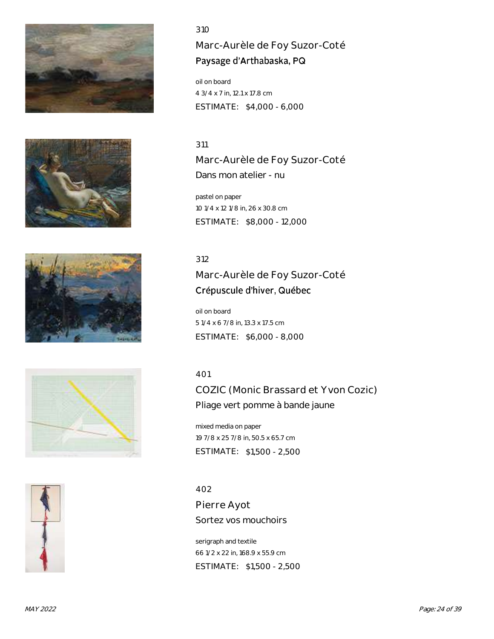









# Marc-Aurèle de Foy Suzor-Coté Paysage d'Arthabaska, PQ

oil on board 4 3/4 x 7 in, 12.1 x 17.8 cm ESTIMATE: \$4,000 - 6,000

## 311

Marc-Aurèle de Foy Suzor-Coté Dans mon atelier - nu

pastel on paper 10 1/4 x 12 1/8 in, 26 x 30.8 cm ESTIMATE: \$8,000 - 12,000

# 312

# Marc-Aurèle de Foy Suzor-Coté Crépuscule d'hiver, Québec

oil on board 5 1/4 x 6 7/8 in, 13.3 x 17.5 cm ESTIMATE: \$6,000 - 8,000

# 401

COZIC (Monic Brassard et Yvon Cozic) Pliage vert pomme à bande jaune

mixed media on paper 19 7/8 x 25 7/8 in, 50.5 x 65.7 cm ESTIMATE: \$1,500 - 2,500

402 Pierre Ayot Sortez vos mouchoirs

serigraph and textile 66 1/2 x 22 in, 168.9 x 55.9 cm ESTIMATE: \$1,500 - 2,500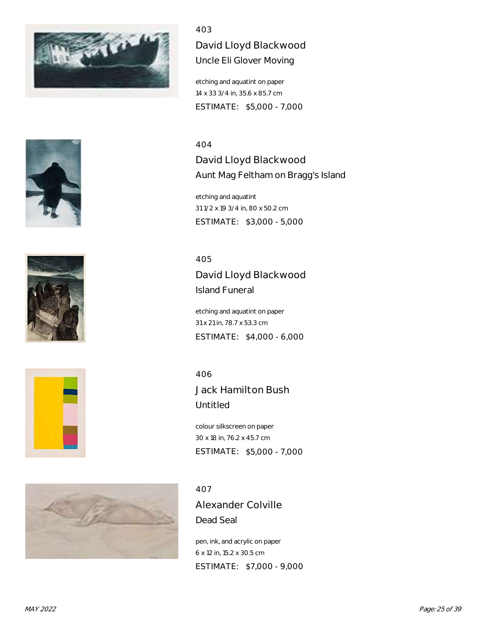

403 David Lloyd Blackwood Uncle Eli Glover Moving

etching and aquatint on paper 14 x 33 3/4 in, 35.6 x 85.7 cm ESTIMATE: \$5,000 - 7,000

## 404

David Lloyd Blackwood Aunt Mag Feltham on Bragg's Island

etching and aquatint 31 1/2 x 19 3/4 in, 80 x 50.2 cm ESTIMATE: \$3,000 - 5,000

405

David Lloyd Blackwood Island Funeral

etching and aquatint on paper 31 x 21 in, 78.7 x 53.3 cm ESTIMATE: \$4,000 - 6,000

406

Jack Hamilton Bush Untitled

colour silkscreen on paper 30 x 18 in, 76.2 x 45.7 cm ESTIMATE: \$5,000 - 7,000

#### 407

Alexander Colville Dead Seal

pen, ink, and acrylic on paper 6 x 12 in, 15.2 x 30.5 cm ESTIMATE: \$7,000 - 9,000







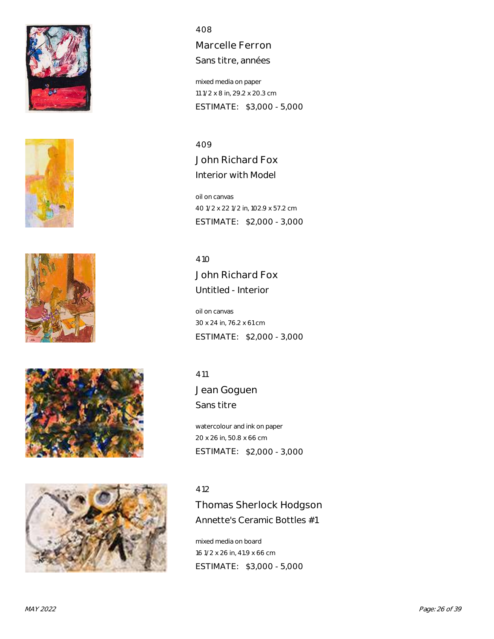









Marcelle Ferron Sans titre, années

mixed media on paper 11 1/2 x 8 in, 29.2 x 20.3 cm ESTIMATE: \$3,000 - 5,000

409 John Richard Fox Interior with Model

oil on canvas 40 1/2 x 22 1/2 in, 102.9 x 57.2 cm ESTIMATE: \$2,000 - 3,000

410 John Richard Fox Untitled - Interior

oil on canvas 30 x 24 in, 76.2 x 61 cm ESTIMATE: \$2,000 - 3,000

411

Jean Goguen Sans titre

watercolour and ink on paper 20 x 26 in, 50.8 x 66 cm ESTIMATE: \$2,000 - 3,000

#### 412

Thomas Sherlock Hodgson Annette's Ceramic Bottles #1

mixed media on board 16 1/2 x 26 in, 41.9 x 66 cm ESTIMATE: \$3,000 - 5,000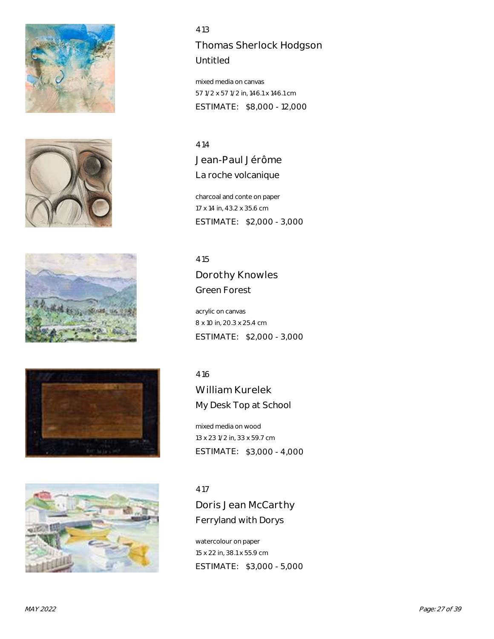









Thomas Sherlock Hodgson Untitled

mixed media on canvas 57 1/2 x 57 1/2 in, 146.1 x 146.1 cm ESTIMATE: \$8,000 - 12,000

414 Jean-Paul Jérôme La roche volcanique

charcoal and conte on paper 17 x 14 in, 43.2 x 35.6 cm ESTIMATE: \$2,000 - 3,000

415

Dorothy Knowles Green Forest

acrylic on canvas 8 x 10 in, 20.3 x 25.4 cm ESTIMATE: \$2,000 - 3,000

416

William Kurelek My Desk Top at School

mixed media on wood 13 x 23 1/2 in, 33 x 59.7 cm ESTIMATE: \$3,000 - 4,000

417

Doris Jean McCarthy Ferryland with Dorys

watercolour on paper 15 x 22 in, 38.1 x 55.9 cm ESTIMATE: \$3,000 - 5,000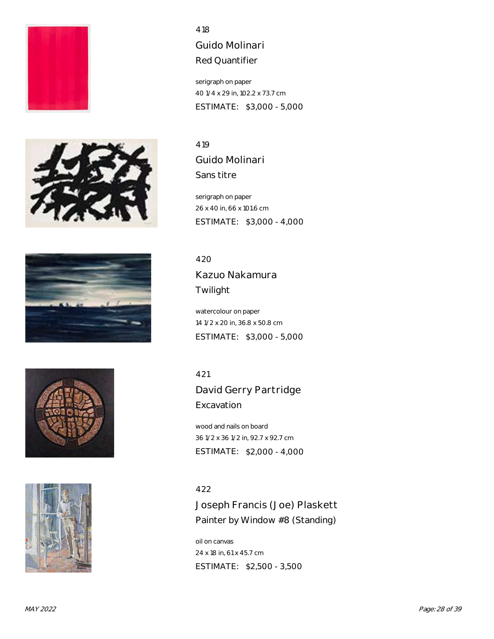









Guido Molinari Red Quantifier

serigraph on paper 40 1/4 x 29 in, 102.2 x 73.7 cm ESTIMATE: \$3,000 - 5,000

419 Guido Molinari Sans titre

serigraph on paper 26 x 40 in, 66 x 101.6 cm ESTIMATE: \$3,000 - 4,000

420 Kazuo Nakamura Twilight

watercolour on paper 14 1/2 x 20 in, 36.8 x 50.8 cm ESTIMATE: \$3,000 - 5,000

421

David Gerry Partridge **Excavation** 

wood and nails on board 36 1/2 x 36 1/2 in, 92.7 x 92.7 cm ESTIMATE: \$2,000 - 4,000

422

Joseph Francis (Joe) Plaskett Painter by Window #8 (Standing)

oil on canvas 24 x 18 in, 61 x 45.7 cm ESTIMATE: \$2,500 - 3,500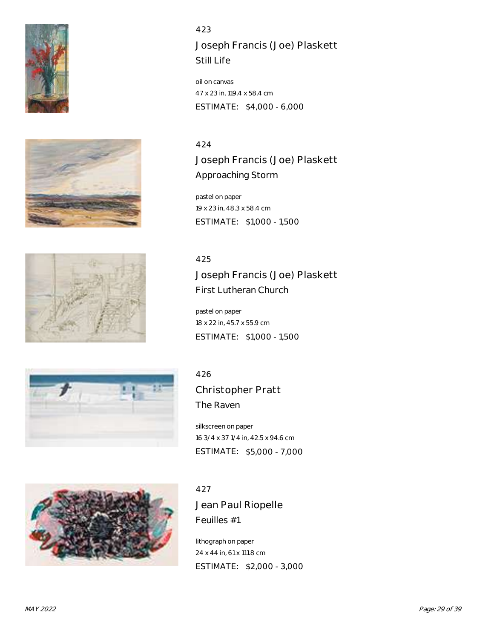









Joseph Francis (Joe) Plaskett Still Life

oil on canvas 47 x 23 in, 119.4 x 58.4 cm ESTIMATE: \$4,000 - 6,000

#### 424

Joseph Francis (Joe) Plaskett Approaching Storm

pastel on paper 19 x 23 in, 48.3 x 58.4 cm ESTIMATE: \$1,000 - 1,500

#### 425

Joseph Francis (Joe) Plaskett First Lutheran Church

pastel on paper 18 x 22 in, 45.7 x 55.9 cm ESTIMATE: \$1,000 - 1,500

# 426

Christopher Pratt The Raven

silkscreen on paper 16 3/4 x 37 1/4 in, 42.5 x 94.6 cm ESTIMATE: \$5,000 - 7,000

#### 427

Jean Paul Riopelle Feuilles #1

lithograph on paper 24 x 44 in, 61 x 111.8 cm ESTIMATE: \$2,000 - 3,000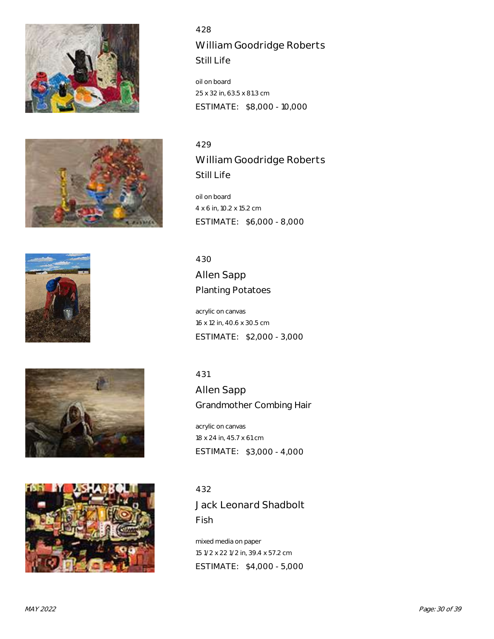









428 William Goodridge Roberts Still Life

oil on board 25 x 32 in, 63.5 x 81.3 cm ESTIMATE: \$8,000 - 10,000

429 William Goodridge Roberts Still Life

oil on board 4 x 6 in, 10.2 x 15.2 cm ESTIMATE: \$6,000 - 8,000

430 Allen Sapp Planting Potatoes

acrylic on canvas 16 x 12 in, 40.6 x 30.5 cm ESTIMATE: \$2,000 - 3,000

431

Allen Sapp Grandmother Combing Hair

acrylic on canvas 18 x 24 in, 45.7 x 61 cm ESTIMATE: \$3,000 - 4,000

432 Jack Leonard Shadbolt Fish

mixed media on paper 15 1/2 x 22 1/2 in, 39.4 x 57.2 cm ESTIMATE: \$4,000 - 5,000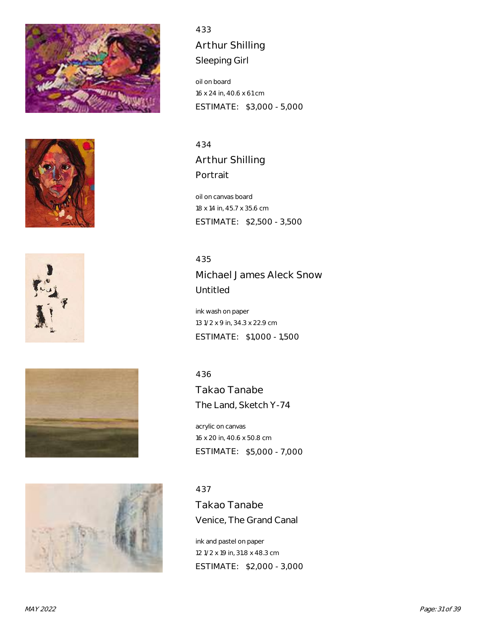









433 Arthur Shilling Sleeping Girl

oil on board 16 x 24 in, 40.6 x 61 cm ESTIMATE: \$3,000 - 5,000

434 Arthur Shilling Portrait

oil on canvas board 18 x 14 in, 45.7 x 35.6 cm ESTIMATE: \$2,500 - 3,500

435 Michael James Aleck Snow Untitled

ink wash on paper 13 1/2 x 9 in, 34.3 x 22.9 cm ESTIMATE: \$1,000 - 1,500

436

Takao Tanabe The Land, Sketch Y-74

acrylic on canvas 16 x 20 in, 40.6 x 50.8 cm ESTIMATE: \$5,000 - 7,000

437

Takao Tanabe Venice, The Grand Canal

ink and pastel on paper 12 1/2 x 19 in, 31.8 x 48.3 cm ESTIMATE: \$2,000 - 3,000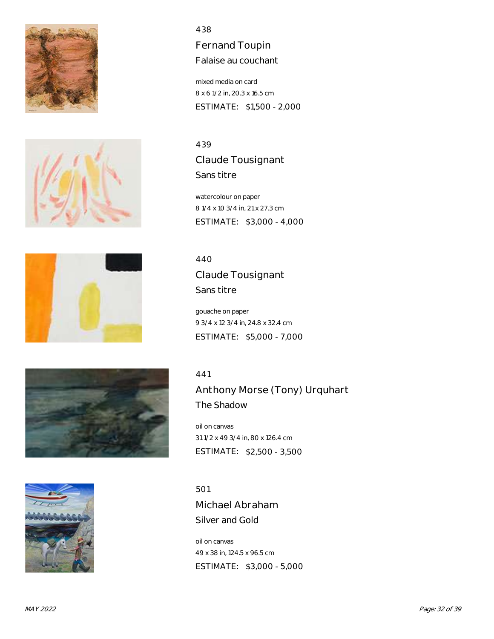









Fernand Toupin Falaise au couchant

mixed media on card 8 x 6 1/2 in, 20.3 x 16.5 cm ESTIMATE: \$1,500 - 2,000

439 Claude Tousignant Sans titre

watercolour on paper 8 1/4 x 10 3/4 in, 21 x 27.3 cm ESTIMATE: \$3,000 - 4,000

440 Claude Tousignant Sans titre

gouache on paper 9 3/4 x 12 3/4 in, 24.8 x 32.4 cm ESTIMATE: \$5,000 - 7,000

#### 441

Anthony Morse (Tony) Urquhart The Shadow

oil on canvas 31 1/2 x 49 3/4 in, 80 x 126.4 cm ESTIMATE: \$2,500 - 3,500

501 Michael Abraham Silver and Gold

oil on canvas 49 x 38 in, 124.5 x 96.5 cm ESTIMATE: \$3,000 - 5,000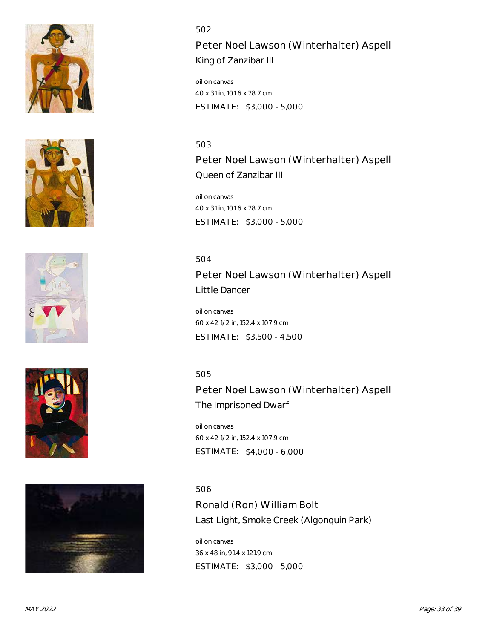









Peter Noel Lawson (Winterhalter) Aspell King of Zanzibar III

oil on canvas 40 x 31 in, 101.6 x 78.7 cm ESTIMATE: \$3,000 - 5,000

#### 503

Peter Noel Lawson (Winterhalter) Aspell Queen of Zanzibar III

oil on canvas 40 x 31 in, 101.6 x 78.7 cm ESTIMATE: \$3,000 - 5,000

504

Peter Noel Lawson (Winterhalter) Aspell Little Dancer

oil on canvas 60 x 42 1/2 in, 152.4 x 107.9 cm ESTIMATE: \$3,500 - 4,500

# 505

Peter Noel Lawson (Winterhalter) Aspell The Imprisoned Dwarf

oil on canvas 60 x 42 1/2 in, 152.4 x 107.9 cm ESTIMATE: \$4,000 - 6,000

# 506

Ronald (Ron) William Bolt Last Light, Smoke Creek (Algonquin Park)

oil on canvas 36 x 48 in, 91.4 x 121.9 cm ESTIMATE: \$3,000 - 5,000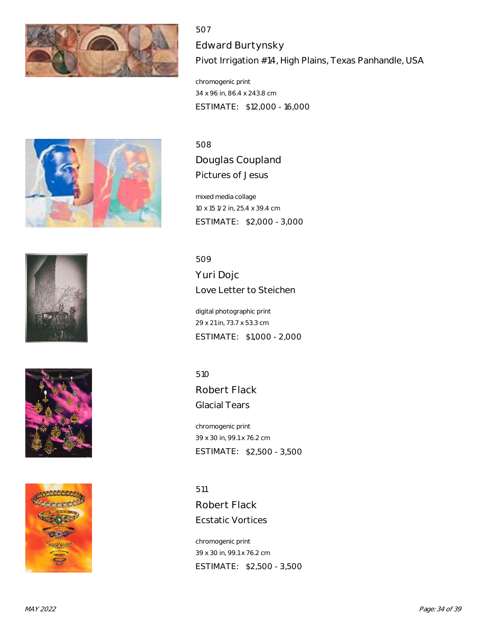

507 Edward Burtynsky Pivot Irrigation #14, High Plains, Texas Panhandle, USA

chromogenic print 34 x 96 in, 86.4 x 243.8 cm ESTIMATE: \$12,000 - 16,000









508 Douglas Coupland

Pictures of Jesus

mixed media collage 10 x 15 1/2 in, 25.4 x 39.4 cm ESTIMATE: \$2,000 - 3,000

509

Yuri Dojc Love Letter to Steichen

digital photographic print 29 x 21 in, 73.7 x 53.3 cm ESTIMATE: \$1,000 - 2,000

510

Robert Flack Glacial Tears

chromogenic print 39 x 30 in, 99.1 x 76.2 cm ESTIMATE: \$2,500 - 3,500

511 Robert Flack Ecstatic Vortices

chromogenic print 39 x 30 in, 99.1 x 76.2 cm ESTIMATE: \$2,500 - 3,500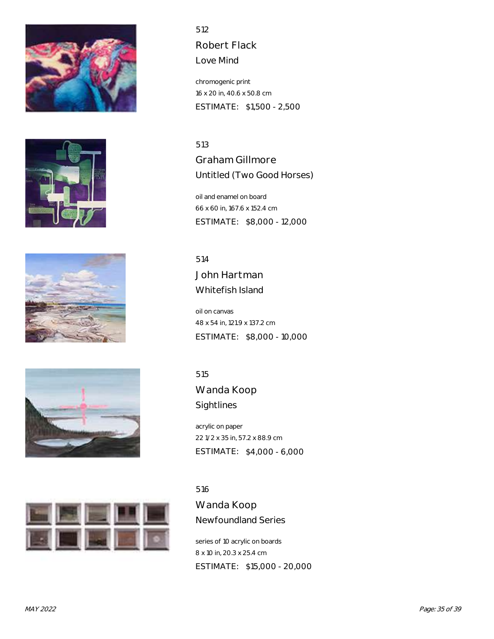









Robert Flack

Love Mind

chromogenic print 16 x 20 in, 40.6 x 50.8 cm ESTIMATE: \$1,500 - 2,500

513 Graham Gillmore Untitled (Two Good Horses)

oil and enamel on board 66 x 60 in, 167.6 x 152.4 cm ESTIMATE: \$8,000 - 12,000

514 John Hartman Whitefish Island

oil on canvas 48 x 54 in, 121.9 x 137.2 cm ESTIMATE: \$8,000 - 10,000

515

Wanda Koop Sightlines

acrylic on paper 22 1/2 x 35 in, 57.2 x 88.9 cm ESTIMATE: \$4,000 - 6,000

#### 516

Wanda Koop Newfoundland Series

series of 10 acrylic on boards 8 x 10 in, 20.3 x 25.4 cm ESTIMATE: \$15,000 - 20,000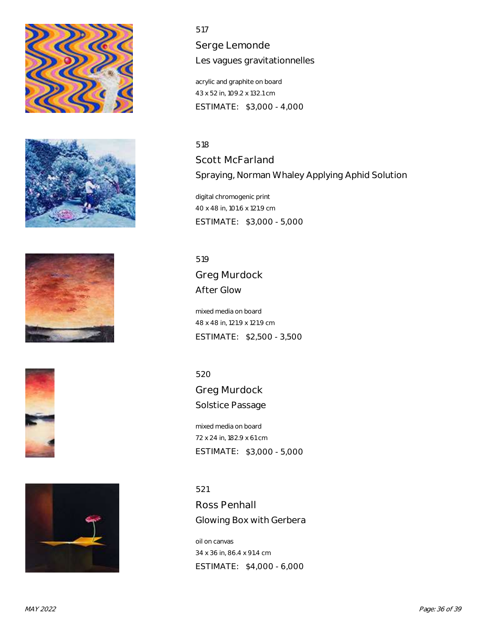









Serge Lemonde Les vagues gravitationnelles

acrylic and graphite on board 43 x 52 in, 109.2 x 132.1 cm ESTIMATE: \$3,000 - 4,000

#### 518

Scott McFarland Spraying, Norman Whaley Applying Aphid Solution

digital chromogenic print 40 x 48 in, 101.6 x 121.9 cm ESTIMATE: \$3,000 - 5,000

519 Greg Murdock After Glow

mixed media on board 48 x 48 in, 121.9 x 121.9 cm ESTIMATE: \$2,500 - 3,500

520

Greg Murdock Solstice Passage

mixed media on board 72 x 24 in, 182.9 x 61 cm ESTIMATE: \$3,000 - 5,000

521

Ross Penhall Glowing Box with Gerbera

oil on canvas 34 x 36 in, 86.4 x 91.4 cm ESTIMATE: \$4,000 - 6,000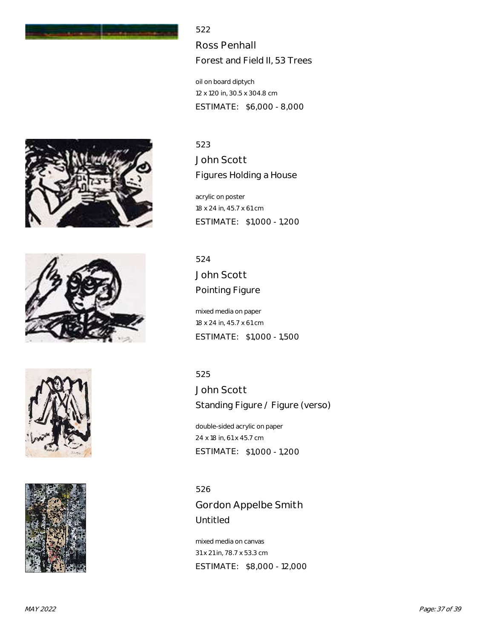

Ross Penhall Forest and Field II, 53 Trees

oil on board diptych 12 x 120 in, 30.5 x 304.8 cm ESTIMATE: \$6,000 - 8,000

# 523

John Scott Figures Holding a House

acrylic on poster 18 x 24 in, 45.7 x 61 cm ESTIMATE: \$1,000 - 1,200

524 John Scott Pointing Figure

mixed media on paper 18 x 24 in, 45.7 x 61 cm ESTIMATE: \$1,000 - 1,500

525

John Scott Standing Figure / Figure (verso)

double-sided acrylic on paper 24 x 18 in, 61 x 45.7 cm ESTIMATE: \$1,000 - 1,200

526 Gordon Appelbe Smith Untitled

mixed media on canvas 31 x 21 in, 78.7 x 53.3 cm ESTIMATE: \$8,000 - 12,000







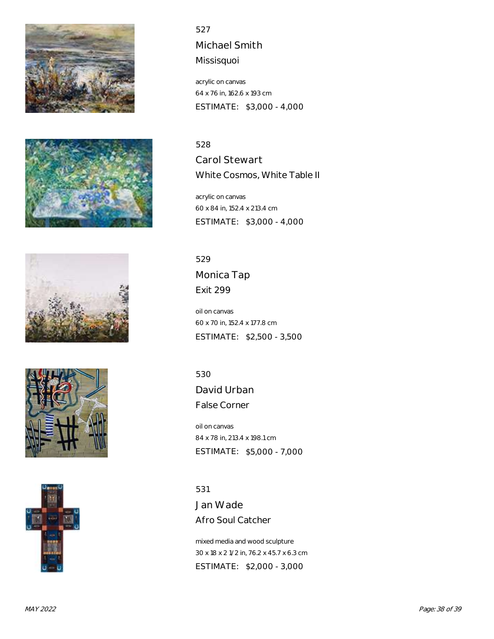









527 Michael Smith Missisquoi

acrylic on canvas 64 x 76 in, 162.6 x 193 cm ESTIMATE: \$3,000 - 4,000

#### 528

Carol Stewart White Cosmos, White Table II

acrylic on canvas 60 x 84 in, 152.4 x 213.4 cm ESTIMATE: \$3,000 - 4,000

529 Monica Tap Exit 299

oil on canvas 60 x 70 in, 152.4 x 177.8 cm ESTIMATE: \$2,500 - 3,500

530

David Urban False Corner

oil on canvas 84 x 78 in, 213.4 x 198.1 cm ESTIMATE: \$5,000 - 7,000

531 Jan Wade Afro Soul Catcher

mixed media and wood sculpture 30 x 18 x 2 1/2 in, 76.2 x 45.7 x 6.3 cm ESTIMATE: \$2,000 - 3,000